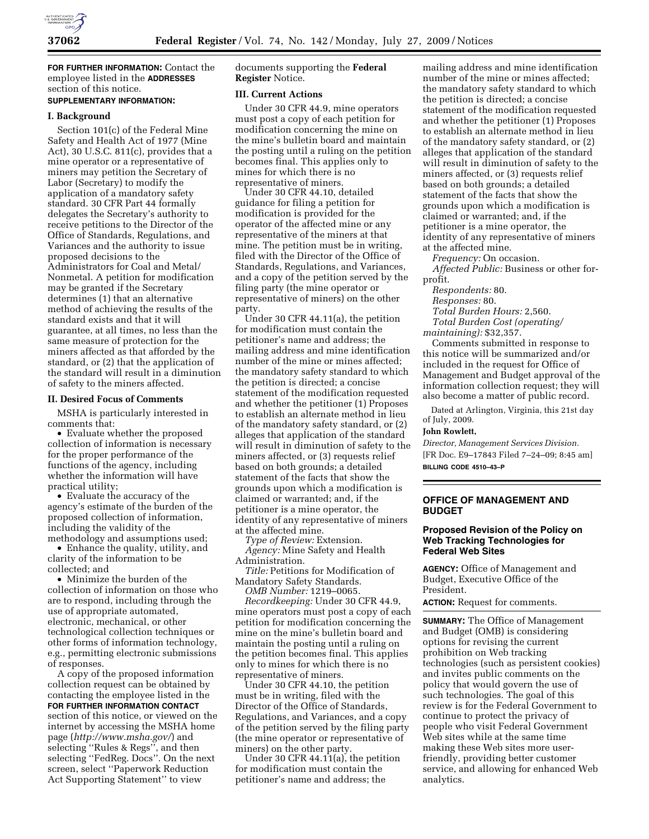

**FOR FURTHER INFORMATION:** Contact the employee listed in the **ADDRESSES** section of this notice.

# **SUPPLEMENTARY INFORMATION:**

#### **I. Background**

Section 101(c) of the Federal Mine Safety and Health Act of 1977 (Mine Act), 30 U.S.C. 811(c), provides that a mine operator or a representative of miners may petition the Secretary of Labor (Secretary) to modify the application of a mandatory safety standard. 30 CFR Part 44 formally delegates the Secretary's authority to receive petitions to the Director of the Office of Standards, Regulations, and Variances and the authority to issue proposed decisions to the Administrators for Coal and Metal/ Nonmetal. A petition for modification may be granted if the Secretary determines (1) that an alternative method of achieving the results of the standard exists and that it will guarantee, at all times, no less than the same measure of protection for the miners affected as that afforded by the standard, or (2) that the application of the standard will result in a diminution of safety to the miners affected.

#### **II. Desired Focus of Comments**

MSHA is particularly interested in comments that:

• Evaluate whether the proposed collection of information is necessary for the proper performance of the functions of the agency, including whether the information will have practical utility;

• Evaluate the accuracy of the agency's estimate of the burden of the proposed collection of information, including the validity of the methodology and assumptions used;

• Enhance the quality, utility, and clarity of the information to be collected; and

• Minimize the burden of the collection of information on those who are to respond, including through the use of appropriate automated, electronic, mechanical, or other technological collection techniques or other forms of information technology, e.g., permitting electronic submissions of responses.

A copy of the proposed information collection request can be obtained by contacting the employee listed in the **FOR FURTHER INFORMATION CONTACT** section of this notice, or viewed on the internet by accessing the MSHA home page (*http://www.msha.gov/*) and selecting ''Rules & Regs'', and then selecting ''FedReg. Docs''. On the next screen, select ''Paperwork Reduction Act Supporting Statement'' to view

documents supporting the **Federal Register** Notice.

# **III. Current Actions**

Under 30 CFR 44.9, mine operators must post a copy of each petition for modification concerning the mine on the mine's bulletin board and maintain the posting until a ruling on the petition becomes final. This applies only to mines for which there is no representative of miners.

Under 30 CFR 44.10, detailed guidance for filing a petition for modification is provided for the operator of the affected mine or any representative of the miners at that mine. The petition must be in writing, filed with the Director of the Office of Standards, Regulations, and Variances, and a copy of the petition served by the filing party (the mine operator or representative of miners) on the other party.

Under 30 CFR 44.11(a), the petition for modification must contain the petitioner's name and address; the mailing address and mine identification number of the mine or mines affected; the mandatory safety standard to which the petition is directed; a concise statement of the modification requested and whether the petitioner (1) Proposes to establish an alternate method in lieu of the mandatory safety standard, or (2) alleges that application of the standard will result in diminution of safety to the miners affected, or (3) requests relief based on both grounds; a detailed statement of the facts that show the grounds upon which a modification is claimed or warranted; and, if the petitioner is a mine operator, the identity of any representative of miners at the affected mine.

*Type of Review:* Extension. *Agency:* Mine Safety and Health Administration.

*Title:* Petitions for Modification of Mandatory Safety Standards.

*OMB Number:* 1219–0065. *Recordkeeping:* Under 30 CFR 44.9, mine operators must post a copy of each petition for modification concerning the mine on the mine's bulletin board and maintain the posting until a ruling on the petition becomes final. This applies only to mines for which there is no representative of miners.

Under 30 CFR 44.10, the petition must be in writing, filed with the Director of the Office of Standards, Regulations, and Variances, and a copy of the petition served by the filing party (the mine operator or representative of miners) on the other party.

Under 30 CFR 44.11(a), the petition for modification must contain the petitioner's name and address; the

mailing address and mine identification number of the mine or mines affected; the mandatory safety standard to which the petition is directed; a concise statement of the modification requested and whether the petitioner (1) Proposes to establish an alternate method in lieu of the mandatory safety standard, or (2) alleges that application of the standard will result in diminution of safety to the miners affected, or (3) requests relief based on both grounds; a detailed statement of the facts that show the grounds upon which a modification is claimed or warranted; and, if the petitioner is a mine operator, the identity of any representative of miners at the affected mine.

*Frequency:* On occasion.

*Affected Public:* Business or other forprofit.

*Respondents:* 80.

*Responses:* 80.

*Total Burden Hours:* 2,560.

*Total Burden Cost (operating/ maintaining):* \$32,357.

Comments submitted in response to this notice will be summarized and/or included in the request for Office of Management and Budget approval of the information collection request; they will also become a matter of public record.

Dated at Arlington, Virginia, this 21st day of July, 2009.

#### **John Rowlett,**

*Director, Management Services Division.*  [FR Doc. E9–17843 Filed 7–24–09; 8:45 am] **BILLING CODE 4510–43–P** 

# **OFFICE OF MANAGEMENT AND BUDGET**

## **Proposed Revision of the Policy on Web Tracking Technologies for Federal Web Sites**

**AGENCY:** Office of Management and Budget, Executive Office of the President.

**ACTION:** Request for comments.

**SUMMARY:** The Office of Management and Budget (OMB) is considering options for revising the current prohibition on Web tracking technologies (such as persistent cookies) and invites public comments on the policy that would govern the use of such technologies. The goal of this review is for the Federal Government to continue to protect the privacy of people who visit Federal Government Web sites while at the same time making these Web sites more userfriendly, providing better customer service, and allowing for enhanced Web analytics.